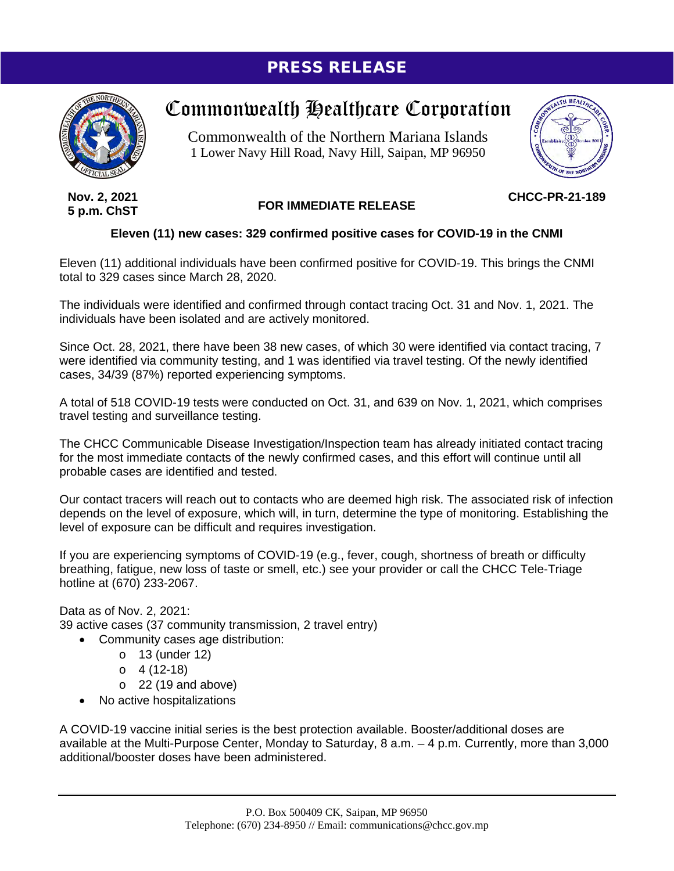## PRESS RELEASE



## Commonwealth Healthcare Corporation

Commonwealth of the Northern Mariana Islands 1 Lower Navy Hill Road, Navy Hill, Saipan, MP 96950



**Nov. 2, 2021 5 p.m. ChST**

## **FOR IMMEDIATE RELEASE**

**CHCC-PR-21-189**

## **Eleven (11) new cases: 329 confirmed positive cases for COVID-19 in the CNMI**

Eleven (11) additional individuals have been confirmed positive for COVID-19. This brings the CNMI total to 329 cases since March 28, 2020.

The individuals were identified and confirmed through contact tracing Oct. 31 and Nov. 1, 2021. The individuals have been isolated and are actively monitored.

Since Oct. 28, 2021, there have been 38 new cases, of which 30 were identified via contact tracing, 7 were identified via community testing, and 1 was identified via travel testing. Of the newly identified cases, 34/39 (87%) reported experiencing symptoms.

A total of 518 COVID-19 tests were conducted on Oct. 31, and 639 on Nov. 1, 2021, which comprises travel testing and surveillance testing.

The CHCC Communicable Disease Investigation/Inspection team has already initiated contact tracing for the most immediate contacts of the newly confirmed cases, and this effort will continue until all probable cases are identified and tested.

Our contact tracers will reach out to contacts who are deemed high risk. The associated risk of infection depends on the level of exposure, which will, in turn, determine the type of monitoring. Establishing the level of exposure can be difficult and requires investigation.

If you are experiencing symptoms of COVID-19 (e.g., fever, cough, shortness of breath or difficulty breathing, fatigue, new loss of taste or smell, etc.) see your provider or call the CHCC Tele-Triage hotline at (670) 233-2067.

Data as of Nov. 2, 2021: 39 active cases (37 community transmission, 2 travel entry)

- Community cases age distribution:
	- o 13 (under 12)
	- $O \ 4(12-18)$
	- $\circ$  22 (19 and above)
- No active hospitalizations

A COVID-19 vaccine initial series is the best protection available. Booster/additional doses are available at the Multi-Purpose Center, Monday to Saturday, 8 a.m. – 4 p.m. Currently, more than 3,000 additional/booster doses have been administered.